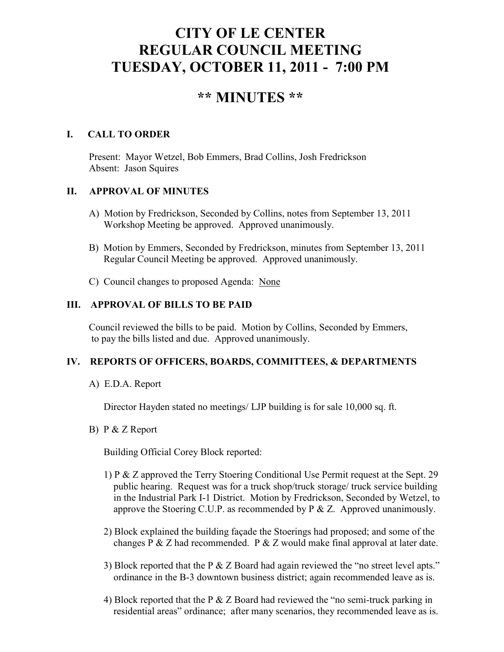# **CITY OF LE CENTER REGULAR COUNCIL MEETING TUESDAY, OCTOBER 11, 2011 - 7:00 PM**

## **\*\* MINUTES \*\***

## **I. CALL TO ORDER**

Present: Mayor Wetzel, Bob Emmers, Brad Collins, Josh Fredrickson Absent: Jason Squires

## **II. APPROVAL OF MINUTES**

- A) Motion by Fredrickson, Seconded by Collins, notes from September 13, 2011 Workshop Meeting be approved. Approved unanimously.
- B) Motion by Emmers, Seconded by Fredrickson, minutes from September 13, 2011 Regular Council Meeting be approved. Approved unanimously.
- C) Council changes to proposed Agenda: None

## **III. APPROVAL OF BILLS TO BE PAID**

Council reviewed the bills to be paid. Motion by Collins, Seconded by Emmers, to pay the bills listed and due. Approved unanimously.

## **IV. REPORTS OF OFFICERS, BOARDS, COMMITTEES, & DEPARTMENTS**

A) E.D.A. Report

Director Hayden stated no meetings/ LJP building is for sale 10,000 sq. ft.

B) P & Z Report

Building Official Corey Block reported:

- 1) P & Z approved the Terry Stoering Conditional Use Permit request at the Sept. 29 public hearing. Request was for a truck shop/truck storage/ truck service building in the Industrial Park I-1 District. Motion by Fredrickson, Seconded by Wetzel, to approve the Stoering C.U.P. as recommended by  $P \& Z$ . Approved unanimously.
- 2) Block explained the building façade the Stoerings had proposed; and some of the changes P & Z had recommended. P & Z would make final approval at later date.
- 3) Block reported that the P & Z Board had again reviewed the "no street level apts." ordinance in the B-3 downtown business district; again recommended leave as is.
- 4) Block reported that the P & Z Board had reviewed the "no semi-truck parking in residential areas" ordinance; after many scenarios, they recommended leave as is.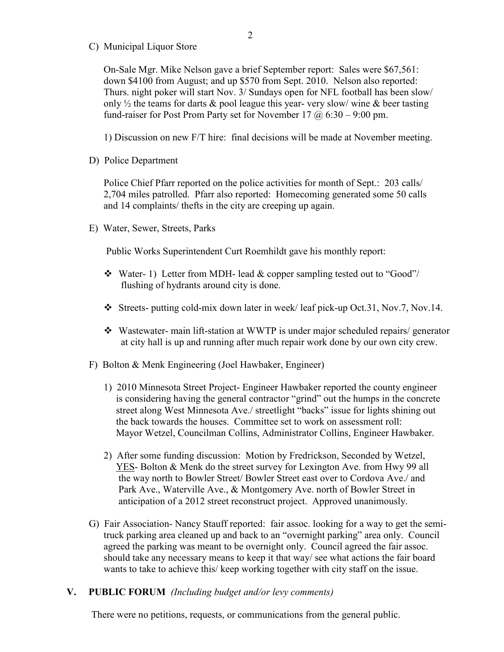C) Municipal Liquor Store

On-Sale Mgr. Mike Nelson gave a brief September report: Sales were \$67,561: down \$4100 from August; and up \$570 from Sept. 2010. Nelson also reported: Thurs. night poker will start Nov. 3/ Sundays open for NFL football has been slow/ only  $\frac{1}{2}$  the teams for darts & pool league this year-very slow/ wine & beer tasting fund-raiser for Post Prom Party set for November 17  $\omega$  6:30 – 9:00 pm.

1) Discussion on new F/T hire: final decisions will be made at November meeting.

D) Police Department

Police Chief Pfarr reported on the police activities for month of Sept.: 203 calls/ 2,704 miles patrolled. Pfarr also reported: Homecoming generated some 50 calls and 14 complaints/ thefts in the city are creeping up again.

E) Water, Sewer, Streets, Parks

Public Works Superintendent Curt Roemhildt gave his monthly report:

- $\div$  Water- 1) Letter from MDH- lead & copper sampling tested out to "Good"/ flushing of hydrants around city is done.
- Streets- putting cold-mix down later in week/ leaf pick-up Oct.31, Nov.7, Nov.14.
- Wastewater- main lift-station at WWTP is under major scheduled repairs/ generator at city hall is up and running after much repair work done by our own city crew.
- F) Bolton & Menk Engineering (Joel Hawbaker, Engineer)
	- 1) 2010 Minnesota Street Project- Engineer Hawbaker reported the county engineer is considering having the general contractor "grind" out the humps in the concrete street along West Minnesota Ave./ streetlight "backs" issue for lights shining out the back towards the houses. Committee set to work on assessment roll: Mayor Wetzel, Councilman Collins, Administrator Collins, Engineer Hawbaker.
	- 2) After some funding discussion: Motion by Fredrickson, Seconded by Wetzel, YES- Bolton & Menk do the street survey for Lexington Ave. from Hwy 99 all the way north to Bowler Street/ Bowler Street east over to Cordova Ave./ and Park Ave., Waterville Ave., & Montgomery Ave. north of Bowler Street in anticipation of a 2012 street reconstruct project. Approved unanimously.
- G) Fair Association- Nancy Stauff reported: fair assoc. looking for a way to get the semi truck parking area cleaned up and back to an "overnight parking" area only. Council agreed the parking was meant to be overnight only. Council agreed the fair assoc. should take any necessary means to keep it that way/ see what actions the fair board wants to take to achieve this/ keep working together with city staff on the issue.

#### **V. PUBLIC FORUM** *(Including budget and/or levy comments)*

There were no petitions, requests, or communications from the general public.